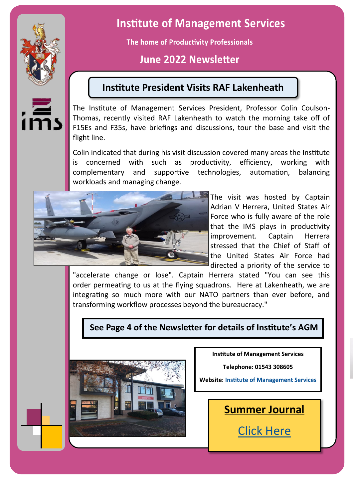

# **Institute of Management Services**

The home of Productivity Professionals

# June 2022 Newsletter

# **Institute President Visits RAF Lakenheath**

The Institute of Management Services President, Professor Colin Coulson-Thomas, recently visited RAF Lakenheath to watch the morning take off of F15Es and F35s, have briefings and discussions, tour the base and visit the flight line.

Colin indicated that during his visit discussion covered many areas the Institute is concerned with such as productivity, efficiency, working with complementary and supportive technologies, automation, balancing workloads and managing change.



The visit was hosted by Captain Adrian V Herrera, United States Air Force who is fully aware of the role that the IMS plays in productivity improvement. Captain Herrera stressed that the Chief of Staff of the United States Air Force had directed a priority of the service to

"accelerate change or lose". Captain Herrera stated "You can see this order permeating to us at the flying squadrons. Here at Lakenheath, we are integrating so much more with our NATO partners than ever before, and transforming workflow processes beyond the bureaucracy."

## **See Page 4 of the Newsletter for details of Institute's AGM**



**Institute of Management Services**

**Telephone: [01543 308605](https://www.ims-productivity.com/01543%20308605)**

**Website: [Institute of Management Services](https://www.ims-productivity.com)**

**Summer Journal** [Click Here](https://www.ims-productivity.com/user/custom/journal/MSJ%20Summer%202022.pdf)

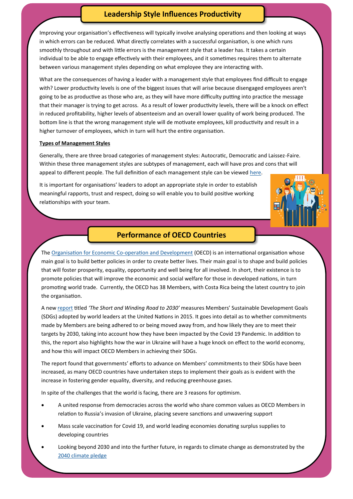#### **Leadership Style Influences Productivity**

Improving your organisation's effectiveness will typically involve analysing operations and then looking at ways in which errors can be reduced. What directly correlates with a successful organisation, is one which runs smoothly throughout and with little errors is the management style that a leader has. It takes a certain individual to be able to engage effectively with their employees, and it sometimes requires them to alternate between various management styles depending on what employee they are interacting with.

What are the consequences of having a leader with a management style that employees find difficult to engage with? Lower productivity levels is one of the biggest issues that will arise because disengaged employees aren't going to be as productive as those who are, as they will have more difficulty putting into practice the message that their manager is trying to get across. As a result of lower productivity levels, there will be a knock on effect in reduced profitability, higher levels of absenteeism and an overall lower quality of work being produced. The bottom line is that the wrong management style will de motivate employees, kill productivity and result in a higher turnover of employees, which in turn will hurt the entire organisation.

#### **Types of Management Styles**

Generally, there are three broad categories of management styles: Autocratic, Democratic and Laissez-Faire. Within these three management styles are subtypes of management, each will have pros and cons that will appeal to different people. The full definition of each management style can be viewed [here.](https://www.valamis.com/hub/management-styles)

It is important for organisations' leaders to adopt an appropriate style in order to establish meaningful rapports, trust and respect, doing so will enable you to build positive working relationships with your team.



#### **Performance of OECD Countries**

The [Organisation for Economic Co](https://www.oecd.org/about/)-operation and Development (OECD) is an international organisation whose main goal is to build better policies in order to create better lives. Their main goal is to shape and build policies that will foster prosperity, equality, opportunity and well being for all involved. In short, their existence is to promote policies that will improve the economic and social welfare for those in developed nations, in turn promoting world trade. Currently, the OECD has 38 Members, with Costa Rica being the latest country to join the organisation.

A new [report](https://www.oecd-ilibrary.org/sites/af4b630d-en/1/2/1/index.html?itemId=/content/publication/af4b630d-en&_csp_=5eae7ef40ea2d30f2851336b7c7b3ee2&itemIGO=oecd&itemContentType=book) titled *'The Short and Winding Road to 2030'* measures Members' Sustainable Development Goals (SDGs) adopted by world leaders at the United Nations in 2015. It goes into detail as to whether commitments made by Members are being adhered to or being moved away from, and how likely they are to meet their targets by 2030, taking into account how they have been impacted by the Covid 19 Pandemic. In addition to this, the report also highlights how the war in Ukraine will have a huge knock on effect to the world economy, and how this will impact OECD Members in achieving their SDGs.

The report found that governments' efforts to advance on Members' commitments to their SDGs have been increased, as many OECD countries have undertaken steps to implement their goals as is evident with the increase in fostering gender equality, diversity, and reducing greenhouse gases.

In spite of the challenges that the world is facing, there are 3 reasons for optimism.

- A united response from democracies across the world who share common values as OECD Members in relation to Russia's invasion of Ukraine, placing severe sanctions and unwavering support
- Mass scale vaccination for Covid 19, and world leading economies donating surplus supplies to developing countries
- Looking beyond 2030 and into the further future, in regards to climate change as demonstrated by the [2040 climate pledge](https://www.theclimatepledge.com/us/en/the-pledge/about)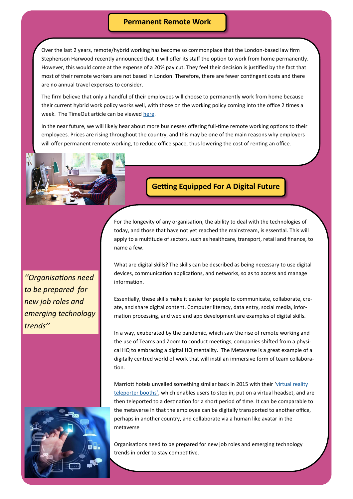#### **Permanent Remote Work**

Over the last 2 years, remote/hybrid working has become so commonplace that the London-based law firm Stephenson Harwood recently announced that it will offer its staff the option to work from home permanently. However, this would come at the expense of a 20% pay cut. They feel their decision is justified by the fact that most of their remote workers are not based in London. Therefore, there are fewer contingent costs and there are no annual travel expenses to consider.

The firm believe that only a handful of their employees will choose to permanently work from home because their current hybrid work policy works well, with those on the working policy coming into the office 2 times a week. The TimeOut article can be viewed [here.](https://www.timeout.com/london/news/a-london-company-will-let-you-work-from-home-for-ever-for-a-pay-cut-050322) 

In the near future, we will likely hear about more businesses offering full-time remote working options to their employees. Prices are rising throughout the country, and this may be one of the main reasons why employers will offer permanent remote working, to reduce office space, thus lowering the cost of renting an office.



#### **Getting Equipped For A Digital Future**

For the longevity of any organisation, the ability to deal with the technologies of today, and those that have not yet reached the mainstream, is essential. This will apply to a multitude of sectors, such as healthcare, transport, retail and finance, to name a few.

*''Organisations need to be prepared for new job roles and emerging technology trends''*

What are digital skills? The skills can be described as being necessary to use digital devices, communication applications, and networks, so as to access and manage information.

Essentially, these skills make it easier for people to communicate, collaborate, create, and share digital content. Computer literacy, data entry, social media, information processing, and web and app development are examples of digital skills.

In a way, exuberated by the pandemic, which saw the rise of remote working and the use of Teams and Zoom to conduct meetings, companies shifted from a physical HQ to embracing a digital HQ mentality. The Metaverse is a great example of a digitally centred world of work that will instil an immersive form of team collaboration.

Marriott hotels unveiled something similar back in 2015 with their '[virtual reality](https://news.marriott.com/news/2015/09/09/marriott-hotels-introduces-the-first-ever-in-room-virtual-reality-travel-experience)  [teleporter booths](https://news.marriott.com/news/2015/09/09/marriott-hotels-introduces-the-first-ever-in-room-virtual-reality-travel-experience)', which enables users to step in, put on a virtual headset, and are then teleported to a destination for a short period of time. It can be comparable to the metaverse in that the employee can be digitally transported to another office, perhaps in another country, and collaborate via a human like avatar in the metaverse



Organisations need to be prepared for new job roles and emerging technology trends in order to stay competitive.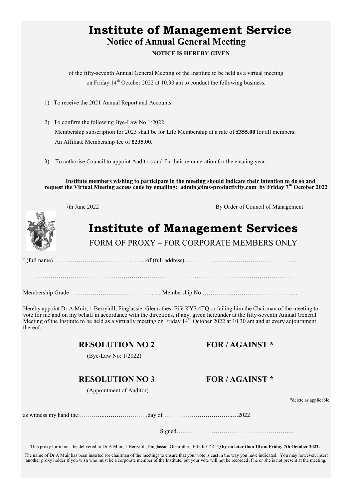# **Institute of Management Service Notice of Annual General Meeting NOTICE IS HEREBY GIVEN**

of the fifty-seventh Annual General Meeting of the Institute to be held as a virtual meeting on Friday  $14<sup>th</sup>$  October 2022 at 10.30 am to conduct the following business.

- 1) To receive the 2021 Annual Report and Accounts.
- 2) To confirm the following Bye-Law No 1/2022. Membership subscription for 2023 shall be for Life Membership at a rate of **£355.00** for all members. An Affiliate Membership fee of **£235.00**.
- 3) To authorise Council to appoint Auditors and fix their remuneration for the ensuing year.

**Institute members wishing to participate in the meeting should indicate their intention to do so and request the Virtual Meeting access code by emailing: admin@ims-[productivity.com](mailto:admin@ims-productivity.com) by Friday 7th October 2022**



7th June 2022 By Order of Council of Management

# **Institute of Management Services**

FORM OF PROXY – FOR CORPORATE MEMBERS ONLY

I (full name)…………………………………..…….of (full address)……………..…………………………………..

…………………………………………………………………………….……………………………………………

Membership Grade……………………………………..… Membership No ………….……………………………...

Hereby appoint Dr A Muir, 1 Berryhill, Finglassie, Glenrothes, Fife KY7 4TQ or failing him the Chairman of the meeting to vote for me and on my behalf in accordance with the directions, if any, given hereunder at the fifty-seventh Annual General Meeting of the Institute to be held as a virtually meeting on Friday  $14^{th}$  October 2022 at 10.30 am and at every adjournment thereof.

#### **RESOLUTION NO 2 FOR / AGAINST \***

(Bye-Law No: 1/2022)

#### **RESOLUTION NO 3 FOR / AGAINST \***

(Appointment of Auditor)

\*delete as applicable

as witness my hand the…………..………………….day of ……………………………..…2022

Signed……………….…………………………………..

This proxy form must be delivered to Dr A Muir, 1 Berryhill, Finglassie, Glenrothes, Fife KY7 4TQ **by no later than 10 am Friday 7th October 2022.**

The name of Dr A Muir has been inserted (or chairman of the meeting) to ensure that your vote is cast in the way you have indicated. You may however, insert another proxy holder if you wish who must be a corporate member of the Institute, but your vote will not be recorded if he or she is not present at the meeting.